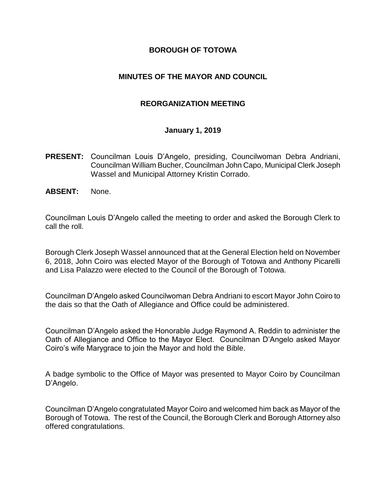#### **BOROUGH OF TOTOWA**

#### **MINUTES OF THE MAYOR AND COUNCIL**

#### **REORGANIZATION MEETING**

#### **January 1, 2019**

- **PRESENT:** Councilman Louis D'Angelo, presiding, Councilwoman Debra Andriani, Councilman William Bucher, Councilman John Capo, Municipal Clerk Joseph Wassel and Municipal Attorney Kristin Corrado.
- **ABSENT:** None.

Councilman Louis D'Angelo called the meeting to order and asked the Borough Clerk to call the roll.

Borough Clerk Joseph Wassel announced that at the General Election held on November 6, 2018, John Coiro was elected Mayor of the Borough of Totowa and Anthony Picarelli and Lisa Palazzo were elected to the Council of the Borough of Totowa.

Councilman D'Angelo asked Councilwoman Debra Andriani to escort Mayor John Coiro to the dais so that the Oath of Allegiance and Office could be administered.

Councilman D'Angelo asked the Honorable Judge Raymond A. Reddin to administer the Oath of Allegiance and Office to the Mayor Elect. Councilman D'Angelo asked Mayor Coiro's wife Marygrace to join the Mayor and hold the Bible.

A badge symbolic to the Office of Mayor was presented to Mayor Coiro by Councilman D'Angelo.

Councilman D'Angelo congratulated Mayor Coiro and welcomed him back as Mayor of the Borough of Totowa. The rest of the Council, the Borough Clerk and Borough Attorney also offered congratulations.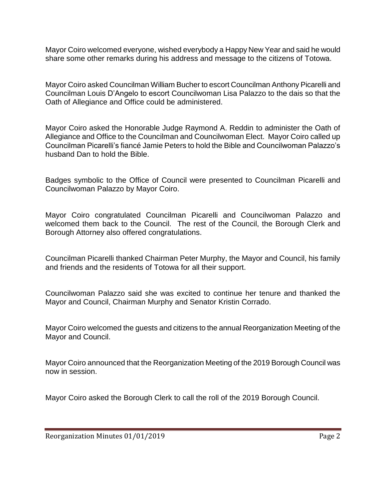Mayor Coiro welcomed everyone, wished everybody a Happy New Year and said he would share some other remarks during his address and message to the citizens of Totowa.

Mayor Coiro asked Councilman William Bucher to escort Councilman Anthony Picarelli and Councilman Louis D'Angelo to escort Councilwoman Lisa Palazzo to the dais so that the Oath of Allegiance and Office could be administered.

Mayor Coiro asked the Honorable Judge Raymond A. Reddin to administer the Oath of Allegiance and Office to the Councilman and Councilwoman Elect. Mayor Coiro called up Councilman Picarelli's fiancé Jamie Peters to hold the Bible and Councilwoman Palazzo's husband Dan to hold the Bible.

Badges symbolic to the Office of Council were presented to Councilman Picarelli and Councilwoman Palazzo by Mayor Coiro.

Mayor Coiro congratulated Councilman Picarelli and Councilwoman Palazzo and welcomed them back to the Council. The rest of the Council, the Borough Clerk and Borough Attorney also offered congratulations.

Councilman Picarelli thanked Chairman Peter Murphy, the Mayor and Council, his family and friends and the residents of Totowa for all their support.

Councilwoman Palazzo said she was excited to continue her tenure and thanked the Mayor and Council, Chairman Murphy and Senator Kristin Corrado.

Mayor Coiro welcomed the guests and citizens to the annual Reorganization Meeting of the Mayor and Council.

Mayor Coiro announced that the Reorganization Meeting of the 2019 Borough Council was now in session.

Mayor Coiro asked the Borough Clerk to call the roll of the 2019 Borough Council.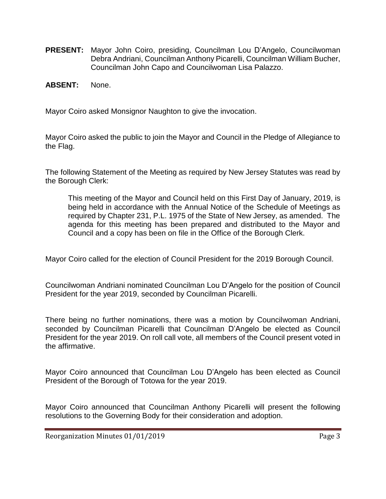- **PRESENT:** Mayor John Coiro, presiding, Councilman Lou D'Angelo, Councilwoman Debra Andriani, Councilman Anthony Picarelli, Councilman William Bucher, Councilman John Capo and Councilwoman Lisa Palazzo.
- **ABSENT:** None.

Mayor Coiro asked Monsignor Naughton to give the invocation.

Mayor Coiro asked the public to join the Mayor and Council in the Pledge of Allegiance to the Flag.

The following Statement of the Meeting as required by New Jersey Statutes was read by the Borough Clerk:

This meeting of the Mayor and Council held on this First Day of January, 2019, is being held in accordance with the Annual Notice of the Schedule of Meetings as required by Chapter 231, P.L. 1975 of the State of New Jersey, as amended. The agenda for this meeting has been prepared and distributed to the Mayor and Council and a copy has been on file in the Office of the Borough Clerk.

Mayor Coiro called for the election of Council President for the 2019 Borough Council.

Councilwoman Andriani nominated Councilman Lou D'Angelo for the position of Council President for the year 2019, seconded by Councilman Picarelli.

There being no further nominations, there was a motion by Councilwoman Andriani, seconded by Councilman Picarelli that Councilman D'Angelo be elected as Council President for the year 2019. On roll call vote, all members of the Council present voted in the affirmative.

Mayor Coiro announced that Councilman Lou D'Angelo has been elected as Council President of the Borough of Totowa for the year 2019.

Mayor Coiro announced that Councilman Anthony Picarelli will present the following resolutions to the Governing Body for their consideration and adoption.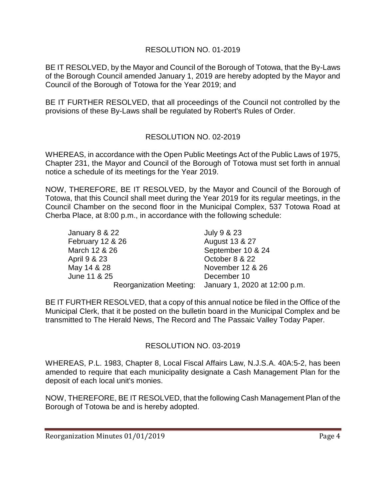# RESOLUTION NO. 01-2019

BE IT RESOLVED, by the Mayor and Council of the Borough of Totowa, that the By-Laws of the Borough Council amended January 1, 2019 are hereby adopted by the Mayor and Council of the Borough of Totowa for the Year 2019; and

BE IT FURTHER RESOLVED, that all proceedings of the Council not controlled by the provisions of these By-Laws shall be regulated by Robert's Rules of Order.

# RESOLUTION NO. 02-2019

WHEREAS, in accordance with the Open Public Meetings Act of the Public Laws of 1975, Chapter 231, the Mayor and Council of the Borough of Totowa must set forth in annual notice a schedule of its meetings for the Year 2019.

NOW, THEREFORE, BE IT RESOLVED, by the Mayor and Council of the Borough of Totowa, that this Council shall meet during the Year 2019 for its regular meetings, in the Council Chamber on the second floor in the Municipal Complex, 537 Totowa Road at Cherba Place, at 8:00 p.m., in accordance with the following schedule:

| January 8 & 22   | July 9 & 23                                           |
|------------------|-------------------------------------------------------|
| February 12 & 26 | August 13 & 27                                        |
| March 12 & 26    | September 10 & 24                                     |
| April 9 & 23     | October 8 & 22                                        |
| May 14 & 28      | November 12 & 26                                      |
| June 11 & 25     | December 10                                           |
|                  | Reorganization Meeting: January 1, 2020 at 12:00 p.m. |

BE IT FURTHER RESOLVED, that a copy of this annual notice be filed in the Office of the Municipal Clerk, that it be posted on the bulletin board in the Municipal Complex and be transmitted to The Herald News, The Record and The Passaic Valley Today Paper.

# RESOLUTION NO. 03-2019

WHEREAS, P.L. 1983, Chapter 8, Local Fiscal Affairs Law, N.J.S.A. 40A:5-2, has been amended to require that each municipality designate a Cash Management Plan for the deposit of each local unit's monies.

NOW, THEREFORE, BE IT RESOLVED, that the following Cash Management Plan of the Borough of Totowa be and is hereby adopted.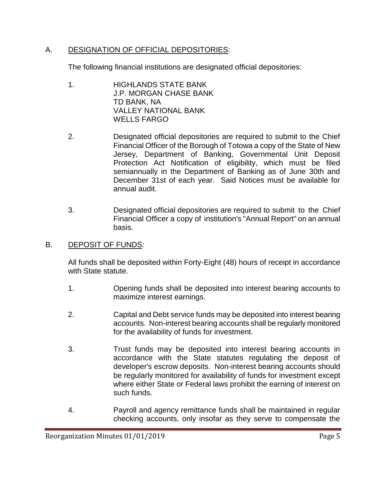# A. DESIGNATION OF OFFICIAL DEPOSITORIES:

The following financial institutions are designated official depositories:

- 1. HIGHLANDS STATE BANK J.P. MORGAN CHASE BANK TD BANK, NA VALLEY NATIONAL BANK WELLS FARGO
- 2. Designated official depositories are required to submit to the Chief Financial Officer of the Borough of Totowa a copy of the State of New Jersey, Department of Banking, Governmental Unit Deposit Protection Act Notification of eligibility, which must be filed semiannually in the Department of Banking as of June 30th and December 31st of each year. Said Notices must be available for annual audit.
- 3. Designated official depositories are required to submit to the Chief Financial Officer a copy of institution's "Annual Report" on an annual basis.

# B. DEPOSIT OF FUNDS:

All funds shall be deposited within Forty-Eight (48) hours of receipt in accordance with State statute.

- 1. Opening funds shall be deposited into interest bearing accounts to maximize interest earnings.
- 2. Capital and Debt service funds may be deposited into interest bearing accounts. Non-interest bearing accounts shall be regularly monitored for the availability of funds for investment.
- 3. Trust funds may be deposited into interest bearing accounts in accordance with the State statutes regulating the deposit of developer's escrow deposits. Non-interest bearing accounts should be regularly monitored for availability of funds for investment except where either State or Federal laws prohibit the earning of interest on such funds.
- 4. Payroll and agency remittance funds shall be maintained in regular checking accounts, only insofar as they serve to compensate the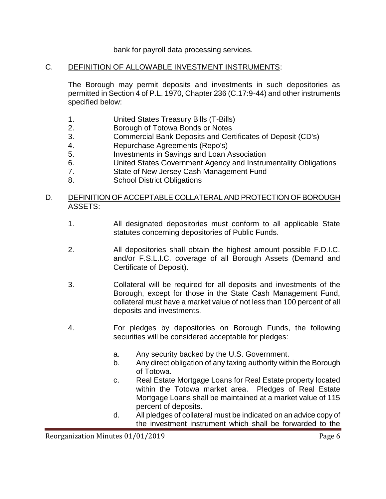#### bank for payroll data processing services.

#### C. DEFINITION OF ALLOWABLE INVESTMENT INSTRUMENTS:

The Borough may permit deposits and investments in such depositories as permitted in Section 4 of P.L. 1970, Chapter 236 (C.17:9-44) and other instruments specified below:

- 1. United States Treasury Bills (T-Bills)
- 2. Borough of Totowa Bonds or Notes
- 3. Commercial Bank Deposits and Certificates of Deposit (CD's)
- 4. Repurchase Agreements (Repo's)
- 5. Investments in Savings and Loan Association
- 6. United States Government Agency and Instrumentality Obligations
- 7. State of New Jersey Cash Management Fund
- 8. School District Obligations

#### D. DEFINITION OF ACCEPTABLE COLLATERAL AND PROTECTION OF BOROUGH ASSETS:

- 1. All designated depositories must conform to all applicable State statutes concerning depositories of Public Funds.
- 2. All depositories shall obtain the highest amount possible F.D.I.C. and/or F.S.L.I.C. coverage of all Borough Assets (Demand and Certificate of Deposit).
- 3. Collateral will be required for all deposits and investments of the Borough, except for those in the State Cash Management Fund, collateral must have a market value of not less than 100 percent of all deposits and investments.
- 4. For pledges by depositories on Borough Funds, the following securities will be considered acceptable for pledges:
	- a. Any security backed by the U.S. Government.
	- b. Any direct obligation of any taxing authority within the Borough of Totowa.
	- c. Real Estate Mortgage Loans for Real Estate property located within the Totowa market area. Pledges of Real Estate Mortgage Loans shall be maintained at a market value of 115 percent of deposits.
	- d. All pledges of collateral must be indicated on an advice copy of the investment instrument which shall be forwarded to the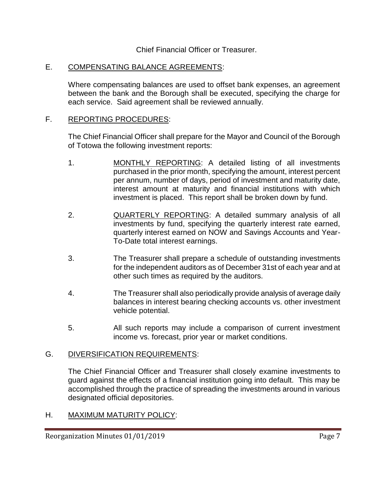Chief Financial Officer or Treasurer.

#### E. COMPENSATING BALANCE AGREEMENTS:

Where compensating balances are used to offset bank expenses, an agreement between the bank and the Borough shall be executed, specifying the charge for each service. Said agreement shall be reviewed annually.

#### F. REPORTING PROCEDURES:

The Chief Financial Officer shall prepare for the Mayor and Council of the Borough of Totowa the following investment reports:

- 1. MONTHLY REPORTING: A detailed listing of all investments purchased in the prior month, specifying the amount, interest percent per annum, number of days, period of investment and maturity date, interest amount at maturity and financial institutions with which investment is placed. This report shall be broken down by fund.
- 2. QUARTERLY REPORTING: A detailed summary analysis of all investments by fund, specifying the quarterly interest rate earned, quarterly interest earned on NOW and Savings Accounts and Year-To-Date total interest earnings.
- 3. The Treasurer shall prepare a schedule of outstanding investments for the independent auditors as of December 31st of each year and at other such times as required by the auditors.
- 4. The Treasurer shall also periodically provide analysis of average daily balances in interest bearing checking accounts vs. other investment vehicle potential.
- 5. All such reports may include a comparison of current investment income vs. forecast, prior year or market conditions.

#### G. DIVERSIFICATION REQUIREMENTS:

The Chief Financial Officer and Treasurer shall closely examine investments to guard against the effects of a financial institution going into default. This may be accomplished through the practice of spreading the investments around in various designated official depositories.

# H. MAXIMUM MATURITY POLICY: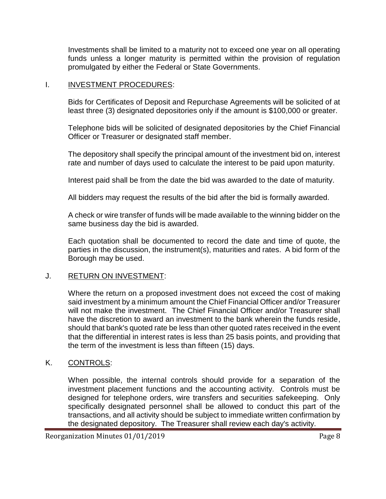Investments shall be limited to a maturity not to exceed one year on all operating funds unless a longer maturity is permitted within the provision of regulation promulgated by either the Federal or State Governments.

#### I. INVESTMENT PROCEDURES:

Bids for Certificates of Deposit and Repurchase Agreements will be solicited of at least three (3) designated depositories only if the amount is \$100,000 or greater.

Telephone bids will be solicited of designated depositories by the Chief Financial Officer or Treasurer or designated staff member.

The depository shall specify the principal amount of the investment bid on, interest rate and number of days used to calculate the interest to be paid upon maturity.

Interest paid shall be from the date the bid was awarded to the date of maturity.

All bidders may request the results of the bid after the bid is formally awarded.

A check or wire transfer of funds will be made available to the winning bidder on the same business day the bid is awarded.

Each quotation shall be documented to record the date and time of quote, the parties in the discussion, the instrument(s), maturities and rates. A bid form of the Borough may be used.

# J. RETURN ON INVESTMENT:

Where the return on a proposed investment does not exceed the cost of making said investment by a minimum amount the Chief Financial Officer and/or Treasurer will not make the investment. The Chief Financial Officer and/or Treasurer shall have the discretion to award an investment to the bank wherein the funds reside, should that bank's quoted rate be less than other quoted rates received in the event that the differential in interest rates is less than 25 basis points, and providing that the term of the investment is less than fifteen (15) days.

# K. CONTROLS:

When possible, the internal controls should provide for a separation of the investment placement functions and the accounting activity. Controls must be designed for telephone orders, wire transfers and securities safekeeping. Only specifically designated personnel shall be allowed to conduct this part of the transactions, and all activity should be subject to immediate written confirmation by the designated depository. The Treasurer shall review each day's activity.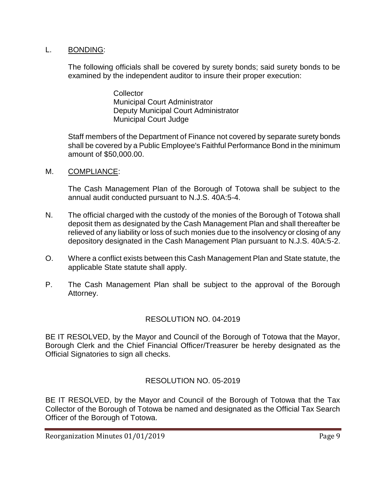#### L. BONDING:

The following officials shall be covered by surety bonds; said surety bonds to be examined by the independent auditor to insure their proper execution:

> **Collector** Municipal Court Administrator Deputy Municipal Court Administrator Municipal Court Judge

Staff members of the Department of Finance not covered by separate surety bonds shall be covered by a Public Employee's Faithful Performance Bond in the minimum amount of \$50,000.00.

M. COMPLIANCE:

The Cash Management Plan of the Borough of Totowa shall be subject to the annual audit conducted pursuant to N.J.S. 40A:5-4.

- N. The official charged with the custody of the monies of the Borough of Totowa shall deposit them as designated by the Cash Management Plan and shall thereafter be relieved of any liability or loss of such monies due to the insolvency or closing of any depository designated in the Cash Management Plan pursuant to N.J.S. 40A:5-2.
- O. Where a conflict exists between this Cash Management Plan and State statute, the applicable State statute shall apply.
- P. The Cash Management Plan shall be subject to the approval of the Borough Attorney.

# RESOLUTION NO. 04-2019

BE IT RESOLVED, by the Mayor and Council of the Borough of Totowa that the Mayor, Borough Clerk and the Chief Financial Officer/Treasurer be hereby designated as the Official Signatories to sign all checks.

# RESOLUTION NO. 05-2019

BE IT RESOLVED, by the Mayor and Council of the Borough of Totowa that the Tax Collector of the Borough of Totowa be named and designated as the Official Tax Search Officer of the Borough of Totowa.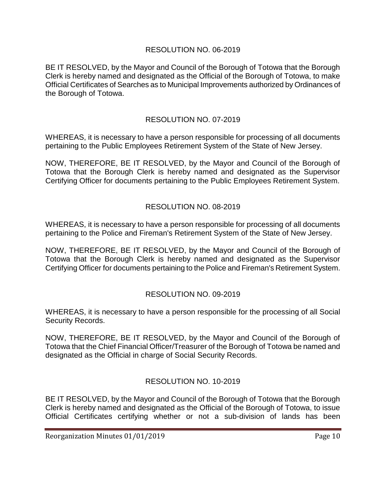# RESOLUTION NO. 06-2019

BE IT RESOLVED, by the Mayor and Council of the Borough of Totowa that the Borough Clerk is hereby named and designated as the Official of the Borough of Totowa, to make Official Certificates of Searches as to Municipal Improvements authorized by Ordinances of the Borough of Totowa.

# RESOLUTION NO. 07-2019

WHEREAS, it is necessary to have a person responsible for processing of all documents pertaining to the Public Employees Retirement System of the State of New Jersey.

NOW, THEREFORE, BE IT RESOLVED, by the Mayor and Council of the Borough of Totowa that the Borough Clerk is hereby named and designated as the Supervisor Certifying Officer for documents pertaining to the Public Employees Retirement System.

# RESOLUTION NO. 08-2019

WHEREAS, it is necessary to have a person responsible for processing of all documents pertaining to the Police and Fireman's Retirement System of the State of New Jersey.

NOW, THEREFORE, BE IT RESOLVED, by the Mayor and Council of the Borough of Totowa that the Borough Clerk is hereby named and designated as the Supervisor Certifying Officer for documents pertaining to the Police and Fireman's Retirement System.

# RESOLUTION NO. 09-2019

WHEREAS, it is necessary to have a person responsible for the processing of all Social Security Records.

NOW, THEREFORE, BE IT RESOLVED, by the Mayor and Council of the Borough of Totowa that the Chief Financial Officer/Treasurer of the Borough of Totowa be named and designated as the Official in charge of Social Security Records.

# RESOLUTION NO. 10-2019

BE IT RESOLVED, by the Mayor and Council of the Borough of Totowa that the Borough Clerk is hereby named and designated as the Official of the Borough of Totowa, to issue Official Certificates certifying whether or not a sub-division of lands has been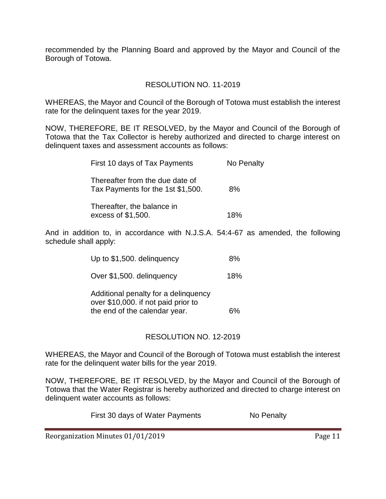recommended by the Planning Board and approved by the Mayor and Council of the Borough of Totowa.

# RESOLUTION NO. 11-2019

WHEREAS, the Mayor and Council of the Borough of Totowa must establish the interest rate for the delinquent taxes for the year 2019.

NOW, THEREFORE, BE IT RESOLVED, by the Mayor and Council of the Borough of Totowa that the Tax Collector is hereby authorized and directed to charge interest on delinquent taxes and assessment accounts as follows:

| First 10 days of Tax Payments                                        | No Penalty |
|----------------------------------------------------------------------|------------|
| Thereafter from the due date of<br>Tax Payments for the 1st \$1,500. | 8%         |
| Thereafter, the balance in<br>excess of \$1,500.                     | 18%        |

And in addition to, in accordance with N.J.S.A. 54:4-67 as amended, the following schedule shall apply:

| Up to \$1,500. delinquency | 8% |
|----------------------------|----|
|----------------------------|----|

Over \$1,500. delinquency 18%

Additional penalty for a delinquency over \$10,000. if not paid prior to the end of the calendar year. 6%

# RESOLUTION NO. 12-2019

WHEREAS, the Mayor and Council of the Borough of Totowa must establish the interest rate for the delinquent water bills for the year 2019.

NOW, THEREFORE, BE IT RESOLVED, by the Mayor and Council of the Borough of Totowa that the Water Registrar is hereby authorized and directed to charge interest on delinquent water accounts as follows:

First 30 days of Water Payments No Penalty

Reorganization Minutes 01/01/2019 Page 11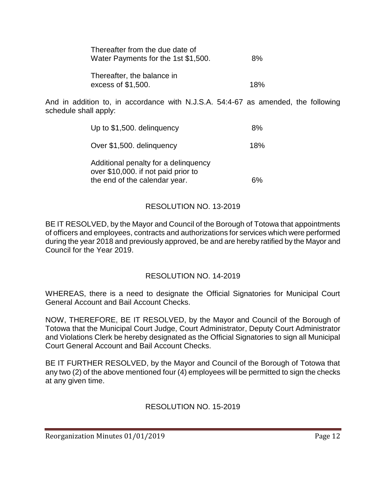| Thereafter from the due date of<br>Water Payments for the 1st \$1,500. | 8%  |
|------------------------------------------------------------------------|-----|
| Thereafter, the balance in<br>excess of \$1,500.                       | 18% |

And in addition to, in accordance with N.J.S.A. 54:4-67 as amended, the following schedule shall apply:

| Up to \$1,500. delinguency | 8%  |
|----------------------------|-----|
| Over \$1,500. delinquency  | 18% |

Additional penalty for a delinquency over \$10,000. if not paid prior to the end of the calendar year. 6%

# RESOLUTION NO. 13-2019

BE IT RESOLVED, by the Mayor and Council of the Borough of Totowa that appointments of officers and employees, contracts and authorizations for services which were performed during the year 2018 and previously approved, be and are hereby ratified by the Mayor and Council for the Year 2019.

# RESOLUTION NO. 14-2019

WHEREAS, there is a need to designate the Official Signatories for Municipal Court General Account and Bail Account Checks.

NOW, THEREFORE, BE IT RESOLVED, by the Mayor and Council of the Borough of Totowa that the Municipal Court Judge, Court Administrator, Deputy Court Administrator and Violations Clerk be hereby designated as the Official Signatories to sign all Municipal Court General Account and Bail Account Checks.

BE IT FURTHER RESOLVED, by the Mayor and Council of the Borough of Totowa that any two (2) of the above mentioned four (4) employees will be permitted to sign the checks at any given time.

# RESOLUTION NO. 15-2019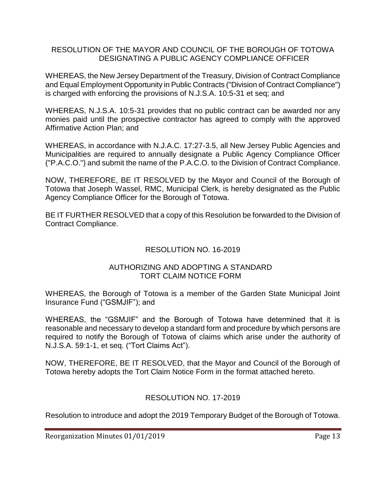#### RESOLUTION OF THE MAYOR AND COUNCIL OF THE BOROUGH OF TOTOWA DESIGNATING A PUBLIC AGENCY COMPLIANCE OFFICER

WHEREAS, the New Jersey Department of the Treasury, Division of Contract Compliance and Equal Employment Opportunity in Public Contracts ("Division of Contract Compliance") is charged with enforcing the provisions of N.J.S.A. 10:5-31 et seq; and

WHEREAS, N.J.S.A. 10:5-31 provides that no public contract can be awarded nor any monies paid until the prospective contractor has agreed to comply with the approved Affirmative Action Plan; and

WHEREAS, in accordance with N.J.A.C. 17:27-3.5, all New Jersey Public Agencies and Municipalities are required to annually designate a Public Agency Compliance Officer ("P.A.C.O.") and submit the name of the P.A.C.O. to the Division of Contract Compliance.

NOW, THEREFORE, BE IT RESOLVED by the Mayor and Council of the Borough of Totowa that Joseph Wassel, RMC, Municipal Clerk, is hereby designated as the Public Agency Compliance Officer for the Borough of Totowa.

BE IT FURTHER RESOLVED that a copy of this Resolution be forwarded to the Division of Contract Compliance.

# RESOLUTION NO. 16-2019

#### AUTHORIZING AND ADOPTING A STANDARD TORT CLAIM NOTICE FORM

WHEREAS, the Borough of Totowa is a member of the Garden State Municipal Joint Insurance Fund ("GSMJIF"); and

WHEREAS, the "GSMJIF" and the Borough of Totowa have determined that it is reasonable and necessary to develop a standard form and procedure by which persons are required to notify the Borough of Totowa of claims which arise under the authority of N.J.S.A. 59:1-1, et seq. ("Tort Claims Act").

NOW, THEREFORE, BE IT RESOLVED, that the Mayor and Council of the Borough of Totowa hereby adopts the Tort Claim Notice Form in the format attached hereto.

# RESOLUTION NO. 17-2019

Resolution to introduce and adopt the 2019 Temporary Budget of the Borough of Totowa.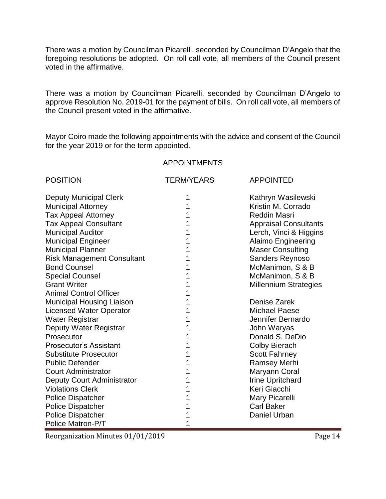There was a motion by Councilman Picarelli, seconded by Councilman D'Angelo that the foregoing resolutions be adopted. On roll call vote, all members of the Council present voted in the affirmative.

There was a motion by Councilman Picarelli, seconded by Councilman D'Angelo to approve Resolution No. 2019-01 for the payment of bills. On roll call vote, all members of the Council present voted in the affirmative.

Mayor Coiro made the following appointments with the advice and consent of the Council for the year 2019 or for the term appointed.

#### APPOINTMENTS

| <b>POSITION</b>                   | <b>TERM/YEARS</b> | <b>APPOINTED</b>             |
|-----------------------------------|-------------------|------------------------------|
| <b>Deputy Municipal Clerk</b>     |                   | Kathryn Wasilewski           |
| <b>Municipal Attorney</b>         |                   | Kristin M. Corrado           |
| <b>Tax Appeal Attorney</b>        |                   | <b>Reddin Masri</b>          |
| <b>Tax Appeal Consultant</b>      |                   | <b>Appraisal Consultants</b> |
| <b>Municipal Auditor</b>          |                   | Lerch, Vinci & Higgins       |
| <b>Municipal Engineer</b>         |                   | <b>Alaimo Engineering</b>    |
| <b>Municipal Planner</b>          |                   | <b>Maser Consulting</b>      |
| <b>Risk Management Consultant</b> |                   | Sanders Reynoso              |
| <b>Bond Counsel</b>               |                   | McManimon, S & B             |
| <b>Special Counsel</b>            |                   | McManimon, S & B             |
| <b>Grant Writer</b>               |                   | <b>Millennium Strategies</b> |
| <b>Animal Control Officer</b>     |                   |                              |
| <b>Municipal Housing Liaison</b>  |                   | Denise Zarek                 |
| <b>Licensed Water Operator</b>    |                   | <b>Michael Paese</b>         |
| <b>Water Registrar</b>            |                   | Jennifer Bernardo            |
| Deputy Water Registrar            |                   | John Waryas                  |
| Prosecutor                        |                   | Donald S. DeDio              |
| <b>Prosecutor's Assistant</b>     |                   | <b>Colby Bierach</b>         |
| <b>Substitute Prosecutor</b>      |                   | <b>Scott Fahrney</b>         |
| <b>Public Defender</b>            |                   | <b>Ramsey Merhi</b>          |
| <b>Court Administrator</b>        |                   | Maryann Coral                |
| Deputy Court Administrator        |                   | <b>Irine Upritchard</b>      |
| <b>Violations Clerk</b>           |                   | Keri Giacchi                 |
| <b>Police Dispatcher</b>          |                   | Mary Picarelli               |
| <b>Police Dispatcher</b>          |                   | <b>Carl Baker</b>            |
| <b>Police Dispatcher</b>          |                   | Daniel Urban                 |
| Police Matron-P/T                 |                   |                              |

Reorganization Minutes 01/01/2019 **Page 14**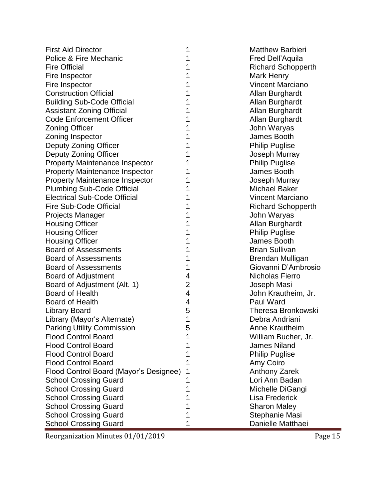| <b>First Aid Director</b>              | 1              | <b>Matthew Barbieri</b>   |
|----------------------------------------|----------------|---------------------------|
| Police & Fire Mechanic                 | 1              | Fred Dell'Aquila          |
| <b>Fire Official</b>                   | 1              | <b>Richard Schopperth</b> |
| Fire Inspector                         | 1              | Mark Henry                |
| Fire Inspector                         | 1              | <b>Vincent Marciano</b>   |
| <b>Construction Official</b>           | 1              | Allan Burghardt           |
| <b>Building Sub-Code Official</b>      | 1              | Allan Burghardt           |
| <b>Assistant Zoning Official</b>       | 1              | Allan Burghardt           |
| <b>Code Enforcement Officer</b>        | 1              | Allan Burghardt           |
| <b>Zoning Officer</b>                  | 1              | John Waryas               |
| Zoning Inspector                       | 1              | James Booth               |
| Deputy Zoning Officer                  | 1              | <b>Philip Puglise</b>     |
| Deputy Zoning Officer                  | 1              | Joseph Murray             |
| <b>Property Maintenance Inspector</b>  | 1              | <b>Philip Puglise</b>     |
| <b>Property Maintenance Inspector</b>  | 1              | James Booth               |
| <b>Property Maintenance Inspector</b>  | 1              | Joseph Murray             |
| <b>Plumbing Sub-Code Official</b>      | 1              | <b>Michael Baker</b>      |
| <b>Electrical Sub-Code Official</b>    | 1              | <b>Vincent Marciano</b>   |
| Fire Sub-Code Official                 | 1              | <b>Richard Schopperth</b> |
| <b>Projects Manager</b>                | 1              | John Waryas               |
| <b>Housing Officer</b>                 | 1              | Allan Burghardt           |
| <b>Housing Officer</b>                 | 1              | <b>Philip Puglise</b>     |
| <b>Housing Officer</b>                 | 1              | James Booth               |
| <b>Board of Assessments</b>            | 1              | <b>Brian Sullivan</b>     |
| <b>Board of Assessments</b>            | 1              | Brendan Mulligan          |
| <b>Board of Assessments</b>            | 1              | Giovanni D'Ambrosio       |
| <b>Board of Adjustment</b>             | 4              | Nicholas Fierro           |
| Board of Adjustment (Alt. 1)           | $\overline{2}$ | Joseph Masi               |
| <b>Board of Health</b>                 | 4              | John Krautheim, Jr.       |
| <b>Board of Health</b>                 | 4              | Paul Ward                 |
| <b>Library Board</b>                   | 5              | Theresa Bronkowski        |
| Library (Mayor's Alternate)            | 1              | Debra Andriani            |
| <b>Parking Utility Commission</b>      | 5              | <b>Anne Krautheim</b>     |
| <b>Flood Control Board</b>             | 1              | William Bucher, Jr.       |
| <b>Flood Control Board</b>             | 1              | <b>James Niland</b>       |
| <b>Flood Control Board</b>             | 1              | <b>Philip Puglise</b>     |
| <b>Flood Control Board</b>             | 1              | Amy Coiro                 |
| Flood Control Board (Mayor's Designee) | 1              | <b>Anthony Zarek</b>      |
| <b>School Crossing Guard</b>           | 1              | Lori Ann Badan            |
| <b>School Crossing Guard</b>           | 1              | Michelle DiGangi          |
| <b>School Crossing Guard</b>           | 1              | <b>Lisa Frederick</b>     |
| <b>School Crossing Guard</b>           | 1              | <b>Sharon Maley</b>       |
| <b>School Crossing Guard</b>           | 1              | Stephanie Masi            |
| <b>School Crossing Guard</b>           | 1              | Danielle Matthaei         |

Reorganization Minutes 01/01/2019 Page 15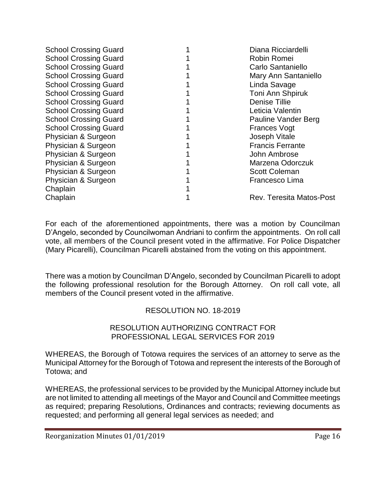| <b>School Crossing Guard</b> | Diana Ricciardelli              |
|------------------------------|---------------------------------|
| <b>School Crossing Guard</b> | Robin Romei                     |
| <b>School Crossing Guard</b> | Carlo Santaniello               |
| <b>School Crossing Guard</b> | Mary Ann Santaniello            |
| <b>School Crossing Guard</b> | Linda Savage                    |
| <b>School Crossing Guard</b> | Toni Ann Shpiruk                |
| <b>School Crossing Guard</b> | <b>Denise Tillie</b>            |
| <b>School Crossing Guard</b> | Leticia Valentin                |
| <b>School Crossing Guard</b> | Pauline Vander Berg             |
| <b>School Crossing Guard</b> | <b>Frances Vogt</b>             |
| Physician & Surgeon          | Joseph Vitale                   |
| Physician & Surgeon          | <b>Francis Ferrante</b>         |
| Physician & Surgeon          | John Ambrose                    |
| Physician & Surgeon          | Marzena Odorczuk                |
| Physician & Surgeon          | <b>Scott Coleman</b>            |
| Physician & Surgeon          | Francesco Lima                  |
| Chaplain                     |                                 |
| Chaplain                     | <b>Rev. Teresita Matos-Post</b> |
|                              |                                 |

For each of the aforementioned appointments, there was a motion by Councilman D'Angelo, seconded by Councilwoman Andriani to confirm the appointments. On roll call vote, all members of the Council present voted in the affirmative. For Police Dispatcher (Mary Picarelli), Councilman Picarelli abstained from the voting on this appointment.

There was a motion by Councilman D'Angelo, seconded by Councilman Picarelli to adopt the following professional resolution for the Borough Attorney. On roll call vote, all members of the Council present voted in the affirmative.

# RESOLUTION NO. 18-2019

#### RESOLUTION AUTHORIZING CONTRACT FOR PROFESSIONAL LEGAL SERVICES FOR 2019

WHEREAS, the Borough of Totowa requires the services of an attorney to serve as the Municipal Attorney for the Borough of Totowa and represent the interests of the Borough of Totowa; and

WHEREAS, the professional services to be provided by the Municipal Attorney include but are not limited to attending all meetings of the Mayor and Council and Committee meetings as required; preparing Resolutions, Ordinances and contracts; reviewing documents as requested; and performing all general legal services as needed; and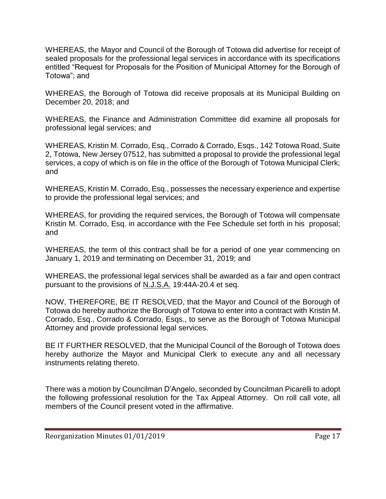WHEREAS, the Mayor and Council of the Borough of Totowa did advertise for receipt of sealed proposals for the professional legal services in accordance with its specifications entitled "Request for Proposals for the Position of Municipal Attorney for the Borough of Totowa"; and

WHEREAS, the Borough of Totowa did receive proposals at its Municipal Building on December 20, 2018; and

WHEREAS, the Finance and Administration Committee did examine all proposals for professional legal services; and

WHEREAS, Kristin M. Corrado, Esq., Corrado & Corrado, Esqs., 142 Totowa Road, Suite 2, Totowa, New Jersey 07512, has submitted a proposal to provide the professional legal services, a copy of which is on file in the office of the Borough of Totowa Municipal Clerk; and

WHEREAS, Kristin M. Corrado, Esq., possesses the necessary experience and expertise to provide the professional legal services; and

WHEREAS, for providing the required services, the Borough of Totowa will compensate Kristin M. Corrado, Esq. in accordance with the Fee Schedule set forth in his proposal; and

WHEREAS, the term of this contract shall be for a period of one year commencing on January 1, 2019 and terminating on December 31, 2019; and

WHEREAS, the professional legal services shall be awarded as a fair and open contract pursuant to the provisions of N.J.S.A. 19:44A-20.4 et seq.

NOW, THEREFORE, BE IT RESOLVED, that the Mayor and Council of the Borough of Totowa do hereby authorize the Borough of Totowa to enter into a contract with Kristin M. Corrado, Esq., Corrado & Corrado, Esqs., to serve as the Borough of Totowa Municipal Attorney and provide professional legal services.

BE IT FURTHER RESOLVED, that the Municipal Council of the Borough of Totowa does hereby authorize the Mayor and Municipal Clerk to execute any and all necessary instruments relating thereto.

There was a motion by Councilman D'Angelo, seconded by Councilman Picarelli to adopt the following professional resolution for the Tax Appeal Attorney. On roll call vote, all members of the Council present voted in the affirmative.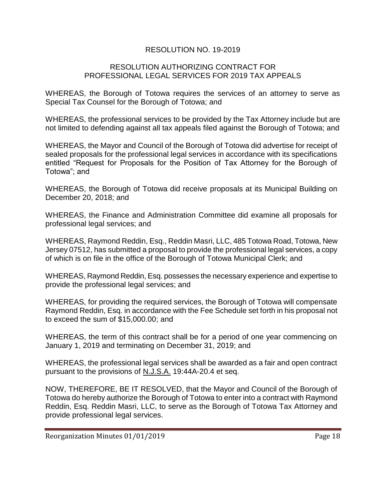# RESOLUTION NO. 19-2019

#### RESOLUTION AUTHORIZING CONTRACT FOR PROFESSIONAL LEGAL SERVICES FOR 2019 TAX APPEALS

WHEREAS, the Borough of Totowa requires the services of an attorney to serve as Special Tax Counsel for the Borough of Totowa; and

WHEREAS, the professional services to be provided by the Tax Attorney include but are not limited to defending against all tax appeals filed against the Borough of Totowa; and

WHEREAS, the Mayor and Council of the Borough of Totowa did advertise for receipt of sealed proposals for the professional legal services in accordance with its specifications entitled "Request for Proposals for the Position of Tax Attorney for the Borough of Totowa"; and

WHEREAS, the Borough of Totowa did receive proposals at its Municipal Building on December 20, 2018; and

WHEREAS, the Finance and Administration Committee did examine all proposals for professional legal services; and

WHEREAS, Raymond Reddin, Esq., Reddin Masri, LLC, 485 Totowa Road, Totowa, New Jersey 07512, has submitted a proposal to provide the professional legal services, a copy of which is on file in the office of the Borough of Totowa Municipal Clerk; and

WHEREAS, Raymond Reddin, Esq. possesses the necessary experience and expertise to provide the professional legal services; and

WHEREAS, for providing the required services, the Borough of Totowa will compensate Raymond Reddin, Esq. in accordance with the Fee Schedule set forth in his proposal not to exceed the sum of \$15,000.00; and

WHEREAS, the term of this contract shall be for a period of one year commencing on January 1, 2019 and terminating on December 31, 2019; and

WHEREAS, the professional legal services shall be awarded as a fair and open contract pursuant to the provisions of N.J.S.A. 19:44A-20.4 et seq.

NOW, THEREFORE, BE IT RESOLVED, that the Mayor and Council of the Borough of Totowa do hereby authorize the Borough of Totowa to enter into a contract with Raymond Reddin, Esq. Reddin Masri, LLC, to serve as the Borough of Totowa Tax Attorney and provide professional legal services.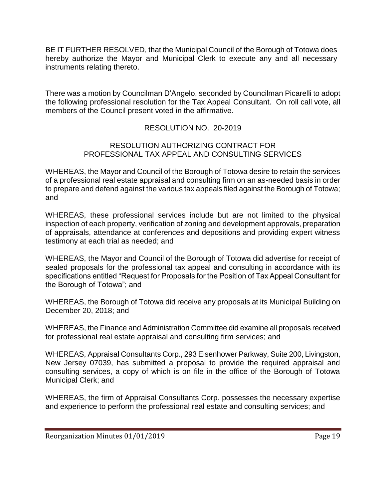BE IT FURTHER RESOLVED, that the Municipal Council of the Borough of Totowa does hereby authorize the Mayor and Municipal Clerk to execute any and all necessary instruments relating thereto.

There was a motion by Councilman D'Angelo, seconded by Councilman Picarelli to adopt the following professional resolution for the Tax Appeal Consultant. On roll call vote, all members of the Council present voted in the affirmative.

# RESOLUTION NO. 20-2019

#### RESOLUTION AUTHORIZING CONTRACT FOR PROFESSIONAL TAX APPEAL AND CONSULTING SERVICES

WHEREAS, the Mayor and Council of the Borough of Totowa desire to retain the services of a professional real estate appraisal and consulting firm on an as-needed basis in order to prepare and defend against the various tax appeals filed against the Borough of Totowa; and

WHEREAS, these professional services include but are not limited to the physical inspection of each property, verification of zoning and development approvals, preparation of appraisals, attendance at conferences and depositions and providing expert witness testimony at each trial as needed; and

WHEREAS, the Mayor and Council of the Borough of Totowa did advertise for receipt of sealed proposals for the professional tax appeal and consulting in accordance with its specifications entitled "Request for Proposals for the Position of Tax Appeal Consultant for the Borough of Totowa"; and

WHEREAS, the Borough of Totowa did receive any proposals at its Municipal Building on December 20, 2018; and

WHEREAS, the Finance and Administration Committee did examine all proposals received for professional real estate appraisal and consulting firm services; and

WHEREAS, Appraisal Consultants Corp., 293 Eisenhower Parkway, Suite 200, Livingston, New Jersey 07039, has submitted a proposal to provide the required appraisal and consulting services, a copy of which is on file in the office of the Borough of Totowa Municipal Clerk; and

WHEREAS, the firm of Appraisal Consultants Corp. possesses the necessary expertise and experience to perform the professional real estate and consulting services; and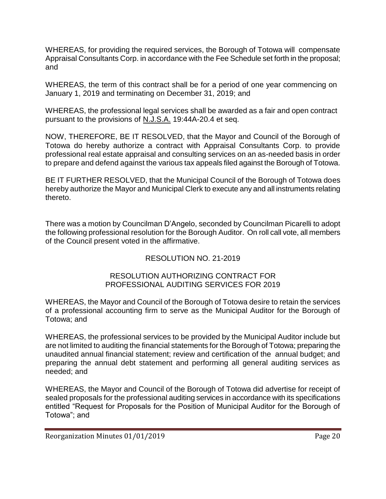WHEREAS, for providing the required services, the Borough of Totowa will compensate Appraisal Consultants Corp. in accordance with the Fee Schedule set forth in the proposal; and

WHEREAS, the term of this contract shall be for a period of one year commencing on January 1, 2019 and terminating on December 31, 2019; and

WHEREAS, the professional legal services shall be awarded as a fair and open contract pursuant to the provisions of N.J.S.A. 19:44A-20.4 et seq.

NOW, THEREFORE, BE IT RESOLVED, that the Mayor and Council of the Borough of Totowa do hereby authorize a contract with Appraisal Consultants Corp. to provide professional real estate appraisal and consulting services on an as-needed basis in order to prepare and defend against the various tax appeals filed against the Borough of Totowa.

BE IT FURTHER RESOLVED, that the Municipal Council of the Borough of Totowa does hereby authorize the Mayor and Municipal Clerk to execute any and all instruments relating thereto.

There was a motion by Councilman D'Angelo, seconded by Councilman Picarelli to adopt the following professional resolution for the Borough Auditor. On roll call vote, all members of the Council present voted in the affirmative.

# RESOLUTION NO. 21-2019

# RESOLUTION AUTHORIZING CONTRACT FOR PROFESSIONAL AUDITING SERVICES FOR 2019

WHEREAS, the Mayor and Council of the Borough of Totowa desire to retain the services of a professional accounting firm to serve as the Municipal Auditor for the Borough of Totowa; and

WHEREAS, the professional services to be provided by the Municipal Auditor include but are not limited to auditing the financial statements for the Borough of Totowa; preparing the unaudited annual financial statement; review and certification of the annual budget; and preparing the annual debt statement and performing all general auditing services as needed; and

WHEREAS, the Mayor and Council of the Borough of Totowa did advertise for receipt of sealed proposals for the professional auditing services in accordance with its specifications entitled "Request for Proposals for the Position of Municipal Auditor for the Borough of Totowa"; and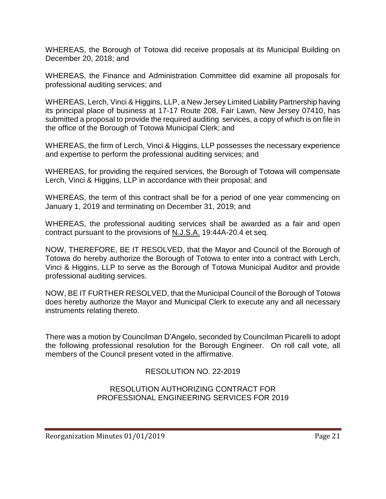WHEREAS, the Borough of Totowa did receive proposals at its Municipal Building on December 20, 2018; and

WHEREAS, the Finance and Administration Committee did examine all proposals for professional auditing services; and

WHEREAS, Lerch, Vinci & Higgins, LLP, a New Jersey Limited Liability Partnership having its principal place of business at 17-17 Route 208, Fair Lawn, New Jersey 07410, has submitted a proposal to provide the required auditing services, a copy of which is on file in the office of the Borough of Totowa Municipal Clerk; and

WHEREAS, the firm of Lerch, Vinci & Higgins, LLP possesses the necessary experience and expertise to perform the professional auditing services; and

WHEREAS, for providing the required services, the Borough of Totowa will compensate Lerch, Vinci & Higgins, LLP in accordance with their proposal; and

WHEREAS, the term of this contract shall be for a period of one year commencing on January 1, 2019 and terminating on December 31, 2019; and

WHEREAS, the professional auditing services shall be awarded as a fair and open contract pursuant to the provisions of N.J.S.A. 19:44A-20.4 et seq.

NOW, THEREFORE, BE IT RESOLVED, that the Mayor and Council of the Borough of Totowa do hereby authorize the Borough of Totowa to enter into a contract with Lerch, Vinci & Higgins, LLP to serve as the Borough of Totowa Municipal Auditor and provide professional auditing services.

NOW, BE IT FURTHER RESOLVED, that the Municipal Council of the Borough of Totowa does hereby authorize the Mayor and Municipal Clerk to execute any and all necessary instruments relating thereto.

There was a motion by Councilman D'Angelo, seconded by Councilman Picarelli to adopt the following professional resolution for the Borough Engineer. On roll call vote, all members of the Council present voted in the affirmative.

# RESOLUTION NO. 22-2019

RESOLUTION AUTHORIZING CONTRACT FOR PROFESSIONAL ENGINEERING SERVICES FOR 2019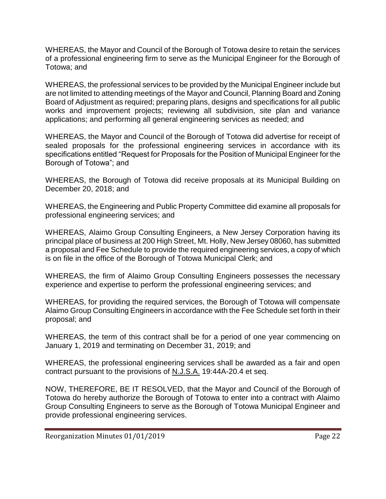WHEREAS, the Mayor and Council of the Borough of Totowa desire to retain the services of a professional engineering firm to serve as the Municipal Engineer for the Borough of Totowa; and

WHEREAS, the professional services to be provided by the Municipal Engineer include but are not limited to attending meetings of the Mayor and Council, Planning Board and Zoning Board of Adjustment as required; preparing plans, designs and specifications for all public works and improvement projects; reviewing all subdivision, site plan and variance applications; and performing all general engineering services as needed; and

WHEREAS, the Mayor and Council of the Borough of Totowa did advertise for receipt of sealed proposals for the professional engineering services in accordance with its specifications entitled "Request for Proposals for the Position of Municipal Engineer for the Borough of Totowa"; and

WHEREAS, the Borough of Totowa did receive proposals at its Municipal Building on December 20, 2018; and

WHEREAS, the Engineering and Public Property Committee did examine all proposals for professional engineering services; and

WHEREAS, Alaimo Group Consulting Engineers, a New Jersey Corporation having its principal place of business at 200 High Street, Mt. Holly, New Jersey 08060, has submitted a proposal and Fee Schedule to provide the required engineering services, a copy of which is on file in the office of the Borough of Totowa Municipal Clerk; and

WHEREAS, the firm of Alaimo Group Consulting Engineers possesses the necessary experience and expertise to perform the professional engineering services; and

WHEREAS, for providing the required services, the Borough of Totowa will compensate Alaimo Group Consulting Engineers in accordance with the Fee Schedule set forth in their proposal; and

WHEREAS, the term of this contract shall be for a period of one year commencing on January 1, 2019 and terminating on December 31, 2019; and

WHEREAS, the professional engineering services shall be awarded as a fair and open contract pursuant to the provisions of N.J.S.A. 19:44A-20.4 et seq.

NOW, THEREFORE, BE IT RESOLVED, that the Mayor and Council of the Borough of Totowa do hereby authorize the Borough of Totowa to enter into a contract with Alaimo Group Consulting Engineers to serve as the Borough of Totowa Municipal Engineer and provide professional engineering services.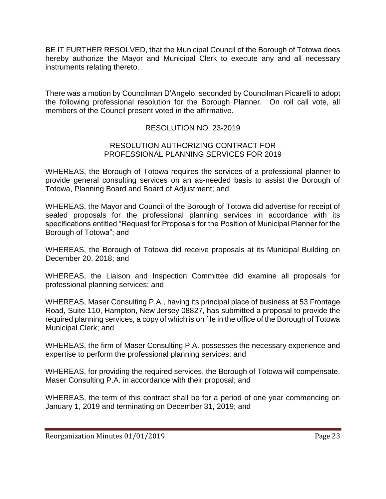BE IT FURTHER RESOLVED, that the Municipal Council of the Borough of Totowa does hereby authorize the Mayor and Municipal Clerk to execute any and all necessary instruments relating thereto.

There was a motion by Councilman D'Angelo, seconded by Councilman Picarelli to adopt the following professional resolution for the Borough Planner. On roll call vote, all members of the Council present voted in the affirmative.

# RESOLUTION NO. 23-2019

#### RESOLUTION AUTHORIZING CONTRACT FOR PROFESSIONAL PLANNING SERVICES FOR 2019

WHEREAS, the Borough of Totowa requires the services of a professional planner to provide general consulting services on an as-needed basis to assist the Borough of Totowa, Planning Board and Board of Adjustment; and

WHEREAS, the Mayor and Council of the Borough of Totowa did advertise for receipt of sealed proposals for the professional planning services in accordance with its specifications entitled "Request for Proposals for the Position of Municipal Planner for the Borough of Totowa"; and

WHEREAS, the Borough of Totowa did receive proposals at its Municipal Building on December 20, 2018; and

WHEREAS, the Liaison and Inspection Committee did examine all proposals for professional planning services; and

WHEREAS, Maser Consulting P.A., having its principal place of business at 53 Frontage Road, Suite 110, Hampton, New Jersey 08827, has submitted a proposal to provide the required planning services, a copy of which is on file in the office of the Borough of Totowa Municipal Clerk; and

WHEREAS, the firm of Maser Consulting P.A. possesses the necessary experience and expertise to perform the professional planning services; and

WHEREAS, for providing the required services, the Borough of Totowa will compensate, Maser Consulting P.A. in accordance with their proposal; and

WHEREAS, the term of this contract shall be for a period of one year commencing on January 1, 2019 and terminating on December 31, 2019; and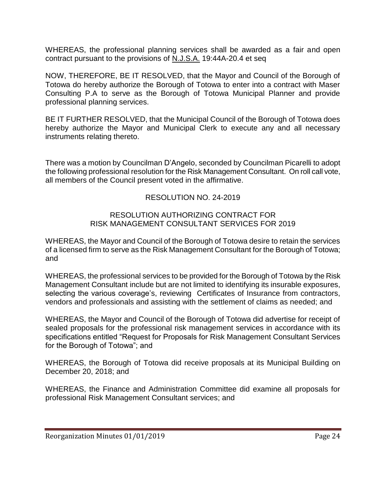WHEREAS, the professional planning services shall be awarded as a fair and open contract pursuant to the provisions of N.J.S.A. 19:44A-20.4 et seq

NOW, THEREFORE, BE IT RESOLVED, that the Mayor and Council of the Borough of Totowa do hereby authorize the Borough of Totowa to enter into a contract with Maser Consulting P.A to serve as the Borough of Totowa Municipal Planner and provide professional planning services.

BE IT FURTHER RESOLVED, that the Municipal Council of the Borough of Totowa does hereby authorize the Mayor and Municipal Clerk to execute any and all necessary instruments relating thereto.

There was a motion by Councilman D'Angelo, seconded by Councilman Picarelli to adopt the following professional resolution for the Risk Management Consultant. On roll call vote, all members of the Council present voted in the affirmative.

# RESOLUTION NO. 24-2019

#### RESOLUTION AUTHORIZING CONTRACT FOR RISK MANAGEMENT CONSULTANT SERVICES FOR 2019

WHEREAS, the Mayor and Council of the Borough of Totowa desire to retain the services of a licensed firm to serve as the Risk Management Consultant for the Borough of Totowa; and

WHEREAS, the professional services to be provided for the Borough of Totowa by the Risk Management Consultant include but are not limited to identifying its insurable exposures, selecting the various coverage's, reviewing Certificates of Insurance from contractors, vendors and professionals and assisting with the settlement of claims as needed; and

WHEREAS, the Mayor and Council of the Borough of Totowa did advertise for receipt of sealed proposals for the professional risk management services in accordance with its specifications entitled "Request for Proposals for Risk Management Consultant Services for the Borough of Totowa"; and

WHEREAS, the Borough of Totowa did receive proposals at its Municipal Building on December 20, 2018; and

WHEREAS, the Finance and Administration Committee did examine all proposals for professional Risk Management Consultant services; and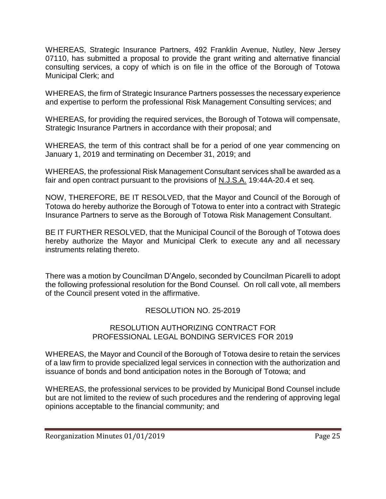WHEREAS, Strategic Insurance Partners, 492 Franklin Avenue, Nutley, New Jersey 07110, has submitted a proposal to provide the grant writing and alternative financial consulting services, a copy of which is on file in the office of the Borough of Totowa Municipal Clerk; and

WHEREAS, the firm of Strategic Insurance Partners possesses the necessary experience and expertise to perform the professional Risk Management Consulting services; and

WHEREAS, for providing the required services, the Borough of Totowa will compensate, Strategic Insurance Partners in accordance with their proposal; and

WHEREAS, the term of this contract shall be for a period of one year commencing on January 1, 2019 and terminating on December 31, 2019; and

WHEREAS, the professional Risk Management Consultant services shall be awarded as a fair and open contract pursuant to the provisions of N.J.S.A. 19:44A-20.4 et seq.

NOW, THEREFORE, BE IT RESOLVED, that the Mayor and Council of the Borough of Totowa do hereby authorize the Borough of Totowa to enter into a contract with Strategic Insurance Partners to serve as the Borough of Totowa Risk Management Consultant.

BE IT FURTHER RESOLVED, that the Municipal Council of the Borough of Totowa does hereby authorize the Mayor and Municipal Clerk to execute any and all necessary instruments relating thereto.

There was a motion by Councilman D'Angelo, seconded by Councilman Picarelli to adopt the following professional resolution for the Bond Counsel. On roll call vote, all members of the Council present voted in the affirmative.

# RESOLUTION NO. 25-2019

#### RESOLUTION AUTHORIZING CONTRACT FOR PROFESSIONAL LEGAL BONDING SERVICES FOR 2019

WHEREAS, the Mayor and Council of the Borough of Totowa desire to retain the services of a law firm to provide specialized legal services in connection with the authorization and issuance of bonds and bond anticipation notes in the Borough of Totowa; and

WHEREAS, the professional services to be provided by Municipal Bond Counsel include but are not limited to the review of such procedures and the rendering of approving legal opinions acceptable to the financial community; and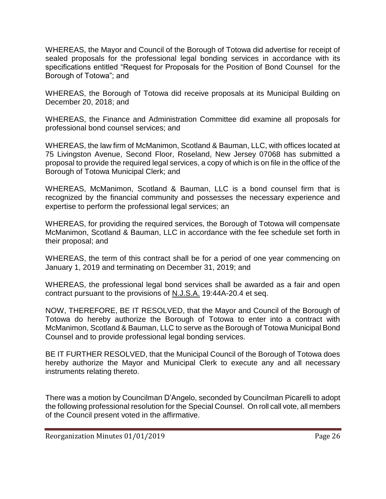WHEREAS, the Mayor and Council of the Borough of Totowa did advertise for receipt of sealed proposals for the professional legal bonding services in accordance with its specifications entitled "Request for Proposals for the Position of Bond Counsel for the Borough of Totowa"; and

WHEREAS, the Borough of Totowa did receive proposals at its Municipal Building on December 20, 2018; and

WHEREAS, the Finance and Administration Committee did examine all proposals for professional bond counsel services; and

WHEREAS, the law firm of McManimon, Scotland & Bauman, LLC, with offices located at 75 Livingston Avenue, Second Floor, Roseland, New Jersey 07068 has submitted a proposal to provide the required legal services, a copy of which is on file in the office of the Borough of Totowa Municipal Clerk; and

WHEREAS, McManimon, Scotland & Bauman, LLC is a bond counsel firm that is recognized by the financial community and possesses the necessary experience and expertise to perform the professional legal services; an

WHEREAS, for providing the required services, the Borough of Totowa will compensate McManimon, Scotland & Bauman, LLC in accordance with the fee schedule set forth in their proposal; and

WHEREAS, the term of this contract shall be for a period of one year commencing on January 1, 2019 and terminating on December 31, 2019; and

WHEREAS, the professional legal bond services shall be awarded as a fair and open contract pursuant to the provisions of N.J.S.A. 19:44A-20.4 et seq.

NOW, THEREFORE, BE IT RESOLVED, that the Mayor and Council of the Borough of Totowa do hereby authorize the Borough of Totowa to enter into a contract with McManimon, Scotland & Bauman, LLC to serve as the Borough of Totowa Municipal Bond Counsel and to provide professional legal bonding services.

BE IT FURTHER RESOLVED, that the Municipal Council of the Borough of Totowa does hereby authorize the Mayor and Municipal Clerk to execute any and all necessary instruments relating thereto.

There was a motion by Councilman D'Angelo, seconded by Councilman Picarelli to adopt the following professional resolution for the Special Counsel. On roll call vote, all members of the Council present voted in the affirmative.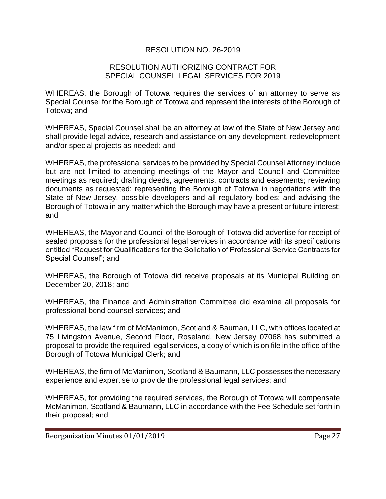## RESOLUTION NO. 26-2019

#### RESOLUTION AUTHORIZING CONTRACT FOR SPECIAL COUNSEL LEGAL SERVICES FOR 2019

WHEREAS, the Borough of Totowa requires the services of an attorney to serve as Special Counsel for the Borough of Totowa and represent the interests of the Borough of Totowa; and

WHEREAS, Special Counsel shall be an attorney at law of the State of New Jersey and shall provide legal advice, research and assistance on any development, redevelopment and/or special projects as needed; and

WHEREAS, the professional services to be provided by Special Counsel Attorney include but are not limited to attending meetings of the Mayor and Council and Committee meetings as required; drafting deeds, agreements, contracts and easements; reviewing documents as requested; representing the Borough of Totowa in negotiations with the State of New Jersey, possible developers and all regulatory bodies; and advising the Borough of Totowa in any matter which the Borough may have a present or future interest; and

WHEREAS, the Mayor and Council of the Borough of Totowa did advertise for receipt of sealed proposals for the professional legal services in accordance with its specifications entitled "Request for Qualifications for the Solicitation of Professional Service Contracts for Special Counsel"; and

WHEREAS, the Borough of Totowa did receive proposals at its Municipal Building on December 20, 2018; and

WHEREAS, the Finance and Administration Committee did examine all proposals for professional bond counsel services; and

WHEREAS, the law firm of McManimon, Scotland & Bauman, LLC, with offices located at 75 Livingston Avenue, Second Floor, Roseland, New Jersey 07068 has submitted a proposal to provide the required legal services, a copy of which is on file in the office of the Borough of Totowa Municipal Clerk; and

WHEREAS, the firm of McManimon, Scotland & Baumann, LLC possesses the necessary experience and expertise to provide the professional legal services; and

WHEREAS, for providing the required services, the Borough of Totowa will compensate McManimon, Scotland & Baumann, LLC in accordance with the Fee Schedule set forth in their proposal; and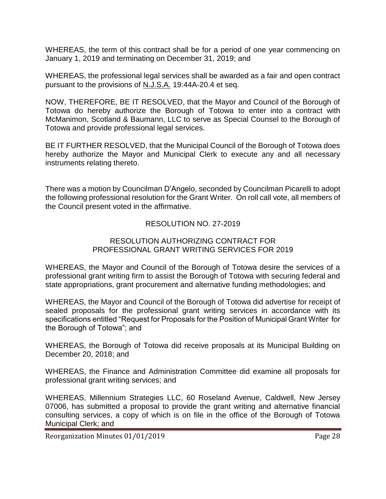WHEREAS, the term of this contract shall be for a period of one year commencing on January 1, 2019 and terminating on December 31, 2019; and

WHEREAS, the professional legal services shall be awarded as a fair and open contract pursuant to the provisions of N.J.S.A. 19:44A-20.4 et seq.

NOW, THEREFORE, BE IT RESOLVED, that the Mayor and Council of the Borough of Totowa do hereby authorize the Borough of Totowa to enter into a contract with McManimon, Scotland & Baumann, LLC to serve as Special Counsel to the Borough of Totowa and provide professional legal services.

BE IT FURTHER RESOLVED, that the Municipal Council of the Borough of Totowa does hereby authorize the Mayor and Municipal Clerk to execute any and all necessary instruments relating thereto.

There was a motion by Councilman D'Angelo, seconded by Councilman Picarelli to adopt the following professional resolution for the Grant Writer. On roll call vote, all members of the Council present voted in the affirmative.

# RESOLUTION NO. 27-2019

#### RESOLUTION AUTHORIZING CONTRACT FOR PROFESSIONAL GRANT WRITING SERVICES FOR 2019

WHEREAS, the Mayor and Council of the Borough of Totowa desire the services of a professional grant writing firm to assist the Borough of Totowa with securing federal and state appropriations, grant procurement and alternative funding methodologies; and

WHEREAS, the Mayor and Council of the Borough of Totowa did advertise for receipt of sealed proposals for the professional grant writing services in accordance with its specifications entitled "Request for Proposals for the Position of Municipal Grant Writer for the Borough of Totowa"; and

WHEREAS, the Borough of Totowa did receive proposals at its Municipal Building on December 20, 2018; and

WHEREAS, the Finance and Administration Committee did examine all proposals for professional grant writing services; and

WHEREAS, Millennium Strategies LLC, 60 Roseland Avenue, Caldwell, New Jersey 07006, has submitted a proposal to provide the grant writing and alternative financial consulting services, a copy of which is on file in the office of the Borough of Totowa Municipal Clerk; and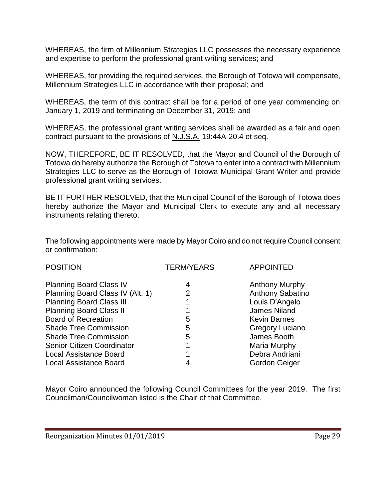WHEREAS, the firm of Millennium Strategies LLC possesses the necessary experience and expertise to perform the professional grant writing services; and

WHEREAS, for providing the required services, the Borough of Totowa will compensate, Millennium Strategies LLC in accordance with their proposal; and

WHEREAS, the term of this contract shall be for a period of one year commencing on January 1, 2019 and terminating on December 31, 2019; and

WHEREAS, the professional grant writing services shall be awarded as a fair and open contract pursuant to the provisions of N.J.S.A. 19:44A-20.4 et seq.

NOW, THEREFORE, BE IT RESOLVED, that the Mayor and Council of the Borough of Totowa do hereby authorize the Borough of Totowa to enter into a contract with Millennium Strategies LLC to serve as the Borough of Totowa Municipal Grant Writer and provide professional grant writing services.

BE IT FURTHER RESOLVED, that the Municipal Council of the Borough of Totowa does hereby authorize the Mayor and Municipal Clerk to execute any and all necessary instruments relating thereto.

The following appointments were made by Mayor Coiro and do not require Council consent or confirmation:

| <b>TERM/YEARS</b> | <b>APPOINTED</b>        |
|-------------------|-------------------------|
| 4                 | <b>Anthony Murphy</b>   |
| 2                 | <b>Anthony Sabatino</b> |
|                   | Louis D'Angelo          |
|                   | <b>James Niland</b>     |
| 5                 | <b>Kevin Barnes</b>     |
| 5                 | <b>Gregory Luciano</b>  |
| 5                 | James Booth             |
|                   | Maria Murphy            |
|                   | Debra Andriani          |
| 4                 | Gordon Geiger           |
|                   |                         |

Mayor Coiro announced the following Council Committees for the year 2019. The first Councilman/Councilwoman listed is the Chair of that Committee.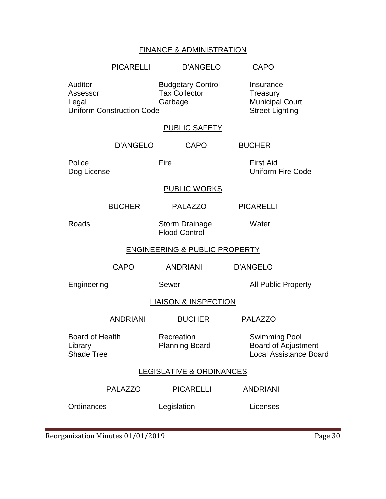# FINANCE & ADMINISTRATION

|                                                                                                                                 | <b>PICARELLI</b> | D'ANGELO                                                                  | <b>CAPO</b>                                                                  |
|---------------------------------------------------------------------------------------------------------------------------------|------------------|---------------------------------------------------------------------------|------------------------------------------------------------------------------|
| Auditor<br><b>Budgetary Control</b><br><b>Tax Collector</b><br>Assessor<br>Garbage<br>Legal<br><b>Uniform Construction Code</b> |                  | Insurance<br>Treasury<br><b>Municipal Court</b><br><b>Street Lighting</b> |                                                                              |
|                                                                                                                                 |                  | PUBLIC SAFETY                                                             |                                                                              |
|                                                                                                                                 | D'ANGELO         | <b>CAPO</b>                                                               | <b>BUCHER</b>                                                                |
| Police<br>Dog License                                                                                                           |                  | Fire                                                                      | <b>First Aid</b><br><b>Uniform Fire Code</b>                                 |
|                                                                                                                                 |                  | <b>PUBLIC WORKS</b>                                                       |                                                                              |
|                                                                                                                                 | <b>BUCHER</b>    | <b>PALAZZO</b>                                                            | <b>PICARELLI</b>                                                             |
| Roads                                                                                                                           |                  | <b>Storm Drainage</b><br><b>Flood Control</b>                             | Water                                                                        |
| <b>ENGINEERING &amp; PUBLIC PROPERTY</b>                                                                                        |                  |                                                                           |                                                                              |
|                                                                                                                                 | CAPO             | <b>ANDRIANI</b>                                                           | <b>D'ANGELO</b>                                                              |
| Engineering                                                                                                                     |                  | Sewer                                                                     | <b>All Public Property</b>                                                   |
| <b>LIAISON &amp; INSPECTION</b>                                                                                                 |                  |                                                                           |                                                                              |
|                                                                                                                                 | <b>ANDRIANI</b>  | <b>BUCHER</b>                                                             | <b>PALAZZO</b>                                                               |
| <b>Board of Health</b><br>Library<br><b>Shade Tree</b>                                                                          |                  | Recreation<br><b>Planning Board</b>                                       | <b>Swimming Pool</b><br>Board of Adjustment<br><b>Local Assistance Board</b> |
| <b>LEGISLATIVE &amp; ORDINANCES</b>                                                                                             |                  |                                                                           |                                                                              |
|                                                                                                                                 | <b>PALAZZO</b>   | <b>PICARELLI</b>                                                          | <b>ANDRIANI</b>                                                              |
| Ordinances                                                                                                                      |                  | Legislation                                                               | Licenses                                                                     |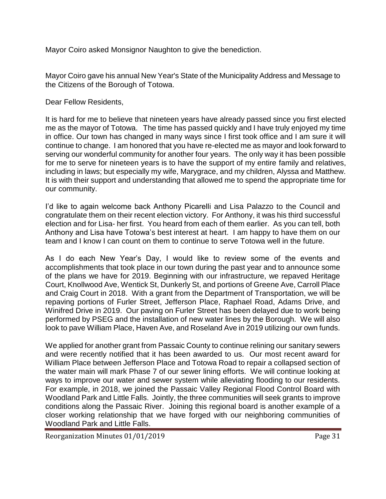Mayor Coiro asked Monsignor Naughton to give the benediction.

Mayor Coiro gave his annual New Year's State of the Municipality Address and Message to the Citizens of the Borough of Totowa.

Dear Fellow Residents,

It is hard for me to believe that nineteen years have already passed since you first elected me as the mayor of Totowa. The time has passed quickly and I have truly enjoyed my time in office. Our town has changed in many ways since I first took office and I am sure it will continue to change. I am honored that you have re-elected me as mayor and look forward to serving our wonderful community for another four years. The only way it has been possible for me to serve for nineteen years is to have the support of my entire family and relatives, including in laws; but especially my wife, Marygrace, and my children, Alyssa and Matthew. It is with their support and understanding that allowed me to spend the appropriate time for our community.

I'd like to again welcome back Anthony Picarelli and Lisa Palazzo to the Council and congratulate them on their recent election victory. For Anthony, it was his third successful election and for Lisa- her first. You heard from each of them earlier. As you can tell, both Anthony and Lisa have Totowa's best interest at heart. I am happy to have them on our team and I know I can count on them to continue to serve Totowa well in the future.

As I do each New Year's Day, I would like to review some of the events and accomplishments that took place in our town during the past year and to announce some of the plans we have for 2019. Beginning with our infrastructure, we repaved Heritage Court, Knollwood Ave, Wentick St, Dunkerly St, and portions of Greene Ave, Carroll Place and Craig Court in 2018. With a grant from the Department of Transportation, we will be repaving portions of Furler Street, Jefferson Place, Raphael Road, Adams Drive, and Winifred Drive in 2019. Our paving on Furler Street has been delayed due to work being performed by PSEG and the installation of new water lines by the Borough. We will also look to pave William Place, Haven Ave, and Roseland Ave in 2019 utilizing our own funds.

We applied for another grant from Passaic County to continue relining our sanitary sewers and were recently notified that it has been awarded to us. Our most recent award for William Place between Jefferson Place and Totowa Road to repair a collapsed section of the water main will mark Phase 7 of our sewer lining efforts. We will continue looking at ways to improve our water and sewer system while alleviating flooding to our residents. For example, in 2018, we joined the Passaic Valley Regional Flood Control Board with Woodland Park and Little Falls. Jointly, the three communities will seek grants to improve conditions along the Passaic River. Joining this regional board is another example of a closer working relationship that we have forged with our neighboring communities of Woodland Park and Little Falls.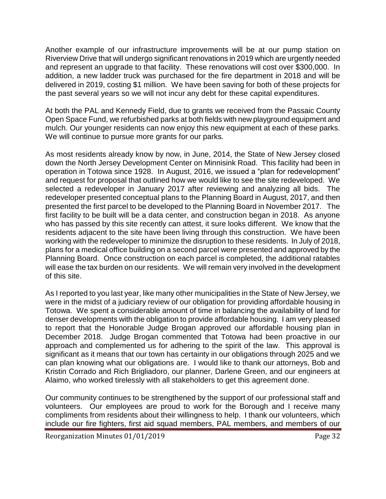Another example of our infrastructure improvements will be at our pump station on Riverview Drive that will undergo significant renovations in 2019 which are urgently needed and represent an upgrade to that facility. These renovations will cost over \$300,000. In addition, a new ladder truck was purchased for the fire department in 2018 and will be delivered in 2019, costing \$1 million. We have been saving for both of these projects for the past several years so we will not incur any debt for these capital expenditures.

At both the PAL and Kennedy Field, due to grants we received from the Passaic County Open Space Fund, we refurbished parks at both fields with new playground equipment and mulch. Our younger residents can now enjoy this new equipment at each of these parks. We will continue to pursue more grants for our parks.

As most residents already know by now, in June, 2014, the State of New Jersey closed down the North Jersey Development Center on Minnisink Road. This facility had been in operation in Totowa since 1928. In August, 2016, we issued a "plan for redevelopment" and request for proposal that outlined how we would like to see the site redeveloped. We selected a redeveloper in January 2017 after reviewing and analyzing all bids. The redeveloper presented conceptual plans to the Planning Board in August, 2017, and then presented the first parcel to be developed to the Planning Board in November 2017. The first facility to be built will be a data center, and construction began in 2018. As anyone who has passed by this site recently can attest, it sure looks different. We know that the residents adjacent to the site have been living through this construction. We have been working with the redeveloper to minimize the disruption to these residents. In July of 2018, plans for a medical office building on a second parcel were presented and approved by the Planning Board. Once construction on each parcel is completed, the additional ratables will ease the tax burden on our residents. We will remain very involved in the development of this site.

As I reported to you last year, like many other municipalities in the State of New Jersey, we were in the midst of a judiciary review of our obligation for providing affordable housing in Totowa. We spent a considerable amount of time in balancing the availability of land for denser developments with the obligation to provide affordable housing. I am very pleased to report that the Honorable Judge Brogan approved our affordable housing plan in December 2018. Judge Brogan commented that Totowa had been proactive in our approach and complemented us for adhering to the spirit of the law. This approval is significant as it means that our town has certainty in our obligations through 2025 and we can plan knowing what our obligations are. I would like to thank our attorneys, Bob and Kristin Corrado and Rich Brigliadoro, our planner, Darlene Green, and our engineers at Alaimo, who worked tirelessly with all stakeholders to get this agreement done.

Our community continues to be strengthened by the support of our professional staff and volunteers. Our employees are proud to work for the Borough and I receive many compliments from residents about their willingness to help. I thank our volunteers, which include our fire fighters, first aid squad members, PAL members, and members of our

Reorganization Minutes 01/01/2019 Page 32